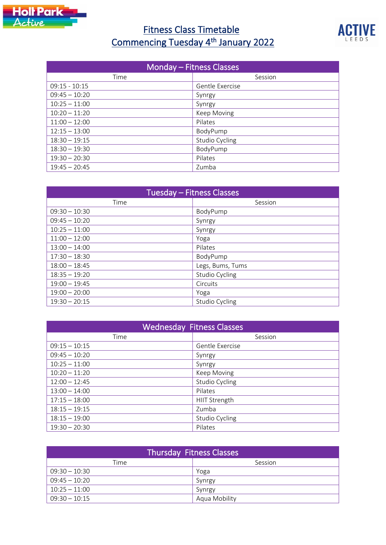

## **Fitness Class Timetable** Commencing Tuesday 4<sup>th</sup> January 2022



| <b>Monday - Fitness Classes</b> |                 |
|---------------------------------|-----------------|
| Time                            | Session         |
| $09:15 - 10:15$                 | Gentle Exercise |
| $09:45 - 10:20$                 | Synrgy          |
| $10:25 - 11:00$                 | Synrgy          |
| $10:20 - 11:20$                 | Keep Moving     |
| $11:00 - 12:00$                 | Pilates         |
| $12:15 - 13:00$                 | BodyPump        |
| $18:30 - 19:15$                 | Studio Cycling  |
| $18:30 - 19:30$                 | BodyPump        |
| $19:30 - 20:30$                 | Pilates         |
| $19:45 - 20:45$                 | Zumba           |

| Tuesday - Fitness Classes |                       |
|---------------------------|-----------------------|
| Time                      | Session               |
| $09:30 - 10:30$           | BodyPump              |
| $09:45 - 10:20$           | Synrgy                |
| $10:25 - 11:00$           | Synrgy                |
| $11:00 - 12:00$           | Yoga                  |
| $13:00 - 14:00$           | Pilates               |
| $17:30 - 18:30$           | BodyPump              |
| $18:00 - 18:45$           | Legs, Bums, Tums      |
| $18:35 - 19:20$           | Studio Cycling        |
| $19:00 - 19:45$           | Circuits              |
| $19:00 - 20:00$           | Yoga                  |
| $19:30 - 20:15$           | <b>Studio Cycling</b> |

| <b>Wednesday Fitness Classes</b> |                 |
|----------------------------------|-----------------|
| Time                             | Session         |
| $09:15 - 10:15$                  | Gentle Exercise |
| $09:45 - 10:20$                  | Synrgy          |
| $10:25 - 11:00$                  | Synrgy          |
| $10:20 - 11:20$                  | Keep Moving     |
| $12:00 - 12:45$                  | Studio Cycling  |
| $13:00 - 14:00$                  | Pilates         |
| $17:15 - 18:00$                  | HIIT Strength   |
| $18:15 - 19:15$                  | Zumba           |
| $18:15 - 19:00$                  | Studio Cycling  |
| $19:30 - 20:30$                  | Pilates         |

| <b>Thursday Fitness Classes</b> |               |
|---------------------------------|---------------|
| Time                            | Session       |
| $09:30 - 10:30$                 | Yoga          |
| $09:45 - 10:20$                 | Synrgy        |
| $10:25 - 11:00$                 | Synrgy        |
| $09:30 - 10:15$                 | Aqua Mobility |